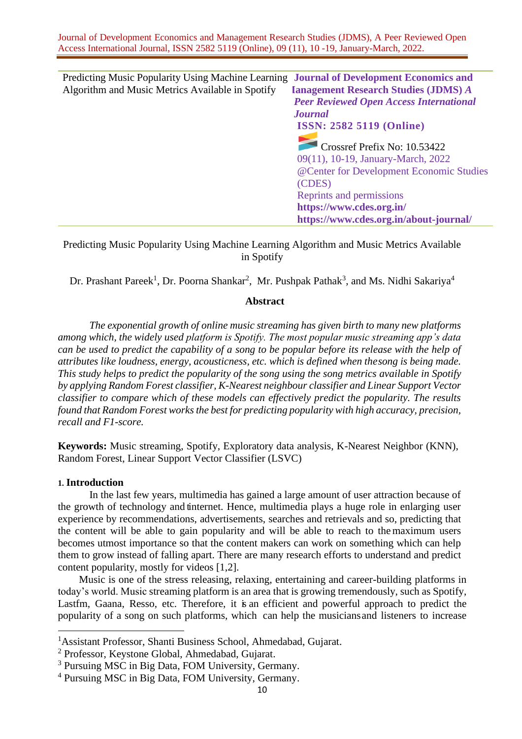Predicting Music Popularity Using Machine Learning **Journal of Development Economics and**  Algorithm and Music Metrics Available in Spotify **Management Research Studies (JDMS)** *A Peer Reviewed Open Access International Journal* **ISSN: 2582 5119 (Online)** Crossref Prefix No: 10.53422 09(11), 10-19, January-March, 2022 @Center for Development Economic Studies (CDES) Reprints and permissions **<https://www.cdes.org.in/> https://www.cdes.org.in/about-journal/**

Predicting Music Popularity Using Machine Learning Algorithm and Music Metrics Available in Spotify

Dr. Prashant Pareek<sup>1</sup>, Dr. Poorna Shankar<sup>2</sup>, Mr. Pushpak Pathak<sup>3</sup>, and Ms. Nidhi Sakariya<sup>4</sup>

# **Abstract**

*The exponential growth of online music streaming has given birth to many new platforms among which, the widely used platform is Spotify. The most popular music streaming app's data can be used to predict the capability of a song to be popular before its release with the help of attributes like loudness, energy, acousticness, etc. which is defined when thesong is being made. This study helps to predict the popularity of the song using the song metrics available in Spotify by applying Random Forest classifier, K-Nearest neighbour classifier and Linear Support Vector classifier to compare which of these models can effectively predict the popularity. The results found that Random Forest works the best for predicting popularity with high accuracy, precision, recall and F1-score.*

**Keywords:** Music streaming, Spotify, Exploratory data analysis, K-Nearest Neighbor (KNN), Random Forest, Linear Support Vector Classifier (LSVC)

# **1. Introduction**

In the last few years, multimedia has gained a large amount of user attraction because of the growth of technology and tinternet. Hence, multimedia plays a huge role in enlarging user experience by recommendations, advertisements, searches and retrievals and so, predicting that the content will be able to gain popularity and will be able to reach to the maximum users becomes utmost importance so that the content makers can work on something which can help them to grow instead of falling apart. There are many research efforts to understand and predict content popularity, mostly for videos [1,2].

Music is one of the stress releasing, relaxing, entertaining and career-building platforms in today's world. Music streaming platform is an area that is growing tremendously, such as Spotify, Lastfm, Gaana, Resso, etc. Therefore, it is an efficient and powerful approach to predict the popularity of a song on such platforms, which can help the musiciansand listeners to increase

<sup>1</sup>Assistant Professor, Shanti Business School, Ahmedabad, Gujarat.

<sup>2</sup> Professor, Keystone Global, Ahmedabad, Gujarat.

<sup>&</sup>lt;sup>3</sup> Pursuing MSC in Big Data, FOM University, Germany.

<sup>4</sup> Pursuing MSC in Big Data, FOM University, Germany.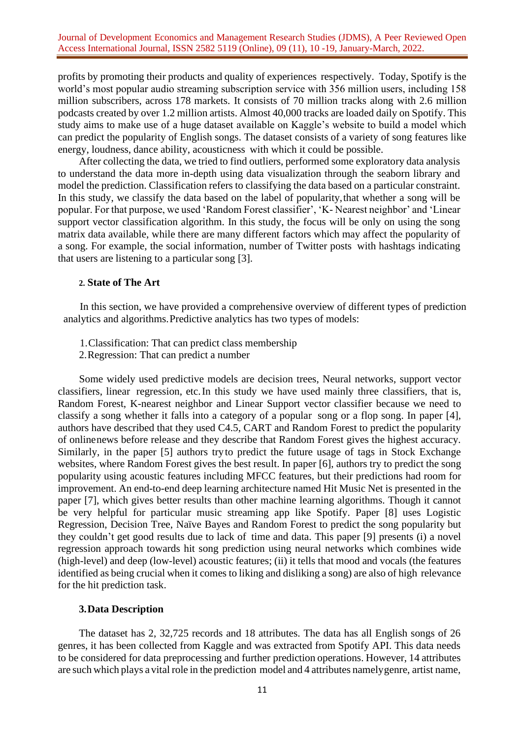profits by promoting their products and quality of experiences respectively. Today, Spotify is the world's most popular audio streaming subscription service with 356 million users, including 158 million subscribers, across 178 markets. It consists of 70 million tracks along with 2.6 million podcasts created by over 1.2 million artists. Almost 40,000 tracks are loaded daily on Spotify. This study aims to make use of a huge dataset available on Kaggle's website to build a model which can predict the popularity of English songs. The dataset consists of a variety of song features like energy, loudness, dance ability, acousticness with which it could be possible.

After collecting the data, we tried to find outliers, performed some exploratory data analysis to understand the data more in-depth using data visualization through the seaborn library and model the prediction. Classification refers to classifying the data based on a particular constraint. In this study, we classify the data based on the label of popularity,that whether a song will be popular. For that purpose, we used 'Random Forest classifier', 'K- Nearest neighbor' and 'Linear support vector classification algorithm. In this study, the focus will be only on using the song matrix data available, while there are many different factors which may affect the popularity of a song. For example, the social information, number of Twitter posts with hashtags indicating that users are listening to a particular song [3].

#### **2. State of The Art**

In this section, we have provided a comprehensive overview of different types of prediction analytics and algorithms.Predictive analytics has two types of models:

- 1.Classification: That can predict class membership
- 2.Regression: That can predict a number

Some widely used predictive models are decision trees, Neural networks, support vector classifiers, linear regression, etc.In this study we have used mainly three classifiers, that is, Random Forest, K-nearest neighbor and Linear Support vector classifier because we need to classify a song whether it falls into a category of a popular song or a flop song. In paper [4], authors have described that they used C4.5, CART and Random Forest to predict the popularity of onlinenews before release and they describe that Random Forest gives the highest accuracy. Similarly, in the paper [5] authors tryto predict the future usage of tags in Stock Exchange websites, where Random Forest gives the best result. In paper [6], authors try to predict the song popularity using acoustic features including MFCC features, but their predictions had room for improvement. An end-to-end deep learning architecture named Hit Music Net is presented in the paper [7], which gives better results than other machine learning algorithms. Though it cannot be very helpful for particular music streaming app like Spotify. Paper [8] uses Logistic Regression, Decision Tree, Naïve Bayes and Random Forest to predict the song popularity but they couldn't get good results due to lack of time and data. This paper [9] presents (i) a novel regression approach towards hit song prediction using neural networks which combines wide (high-level) and deep (low-level) acoustic features; (ii) it tells that mood and vocals (the features identified as being crucial when it comes to liking and disliking a song) are also of high relevance for the hit prediction task.

# **3.Data Description**

The dataset has 2, 32,725 records and 18 attributes. The data has all English songs of 26 genres, it has been collected from Kaggle and was extracted from Spotify API. This data needs to be considered for data preprocessing and further prediction operations. However, 14 attributes are such which plays a vital role in the prediction model and 4 attributes namelygenre, artist name,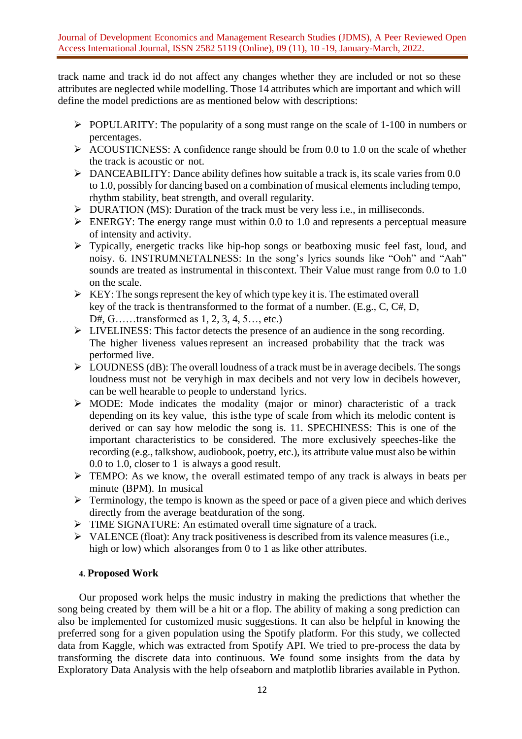track name and track id do not affect any changes whether they are included or not so these attributes are neglected while modelling. Those 14 attributes which are important and which will define the model predictions are as mentioned below with descriptions:

- ➢ POPULARITY: The popularity of a song must range on the scale of 1-100 in numbers or percentages.
- $\triangleright$  ACOUSTICNESS: A confidence range should be from 0.0 to 1.0 on the scale of whether the track is acoustic or not.
- ➢ DANCEABILITY: Dance ability defines how suitable a track is, its scale varies from 0.0 to 1.0, possibly for dancing based on a combination of musical elements including tempo, rhythm stability, beat strength, and overall regularity.
- ➢ DURATION (MS): Duration of the track must be very less i.e., in milliseconds.
- $\triangleright$  ENERGY: The energy range must within 0.0 to 1.0 and represents a perceptual measure of intensity and activity.
- ➢ Typically, energetic tracks like hip-hop songs or beatboxing music feel fast, loud, and noisy. 6. INSTRUMNETALNESS: In the song's lyrics sounds like "Ooh" and "Aah" sounds are treated as instrumental in thiscontext. Their Value must range from 0.0 to 1.0 on the scale.
- $\triangleright$  KEY: The songs represent the key of which type key it is. The estimated overall key of the track is thentransformed to the format of a number. (E.g., C, C#, D, D#, G……transformed as 1, 2, 3, 4, 5…, etc.)
- ➢ LIVELINESS: This factor detects the presence of an audience in the song recording. The higher liveness values represent an increased probability that the track was performed live.
- $\triangleright$  LOUDNESS (dB): The overall loudness of a track must be in average decibels. The songs loudness must not be veryhigh in max decibels and not very low in decibels however, can be well hearable to people to understand lyrics.
- ➢ MODE: Mode indicates the modality (major or minor) characteristic of a track depending on its key value, this isthe type of scale from which its melodic content is derived or can say how melodic the song is. 11. SPECHINESS: This is one of the important characteristics to be considered. The more exclusively speeches-like the recording (e.g., talkshow, audiobook, poetry, etc.), its attribute value must also be within 0.0 to 1.0, closer to 1 is always a good result.
- ➢ TEMPO: As we know, the overall estimated tempo of any track is always in beats per minute (BPM). In musical
- ➢ Terminology, the tempo is known as the speed or pace of a given piece and which derives directly from the average beatduration of the song.
- ➢ TIME SIGNATURE: An estimated overall time signature of a track.
- ➢ VALENCE (float): Any track positiveness is described from its valence measures (i.e., high or low) which alsoranges from 0 to 1 as like other attributes.

# **4. Proposed Work**

Our proposed work helps the music industry in making the predictions that whether the song being created by them will be a hit or a flop. The ability of making a song prediction can also be implemented for customized music suggestions. It can also be helpful in knowing the preferred song for a given population using the Spotify platform. For this study, we collected data from Kaggle, which was extracted from Spotify API. We tried to pre-process the data by transforming the discrete data into continuous. We found some insights from the data by Exploratory Data Analysis with the help ofseaborn and matplotlib libraries available in Python.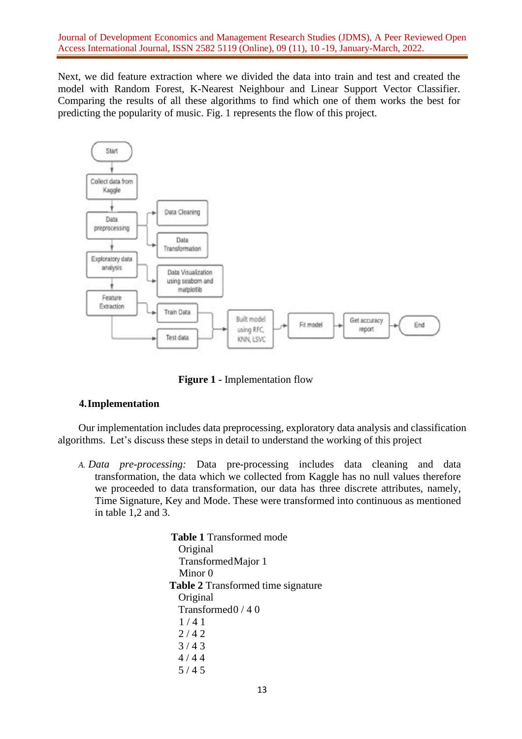Next, we did feature extraction where we divided the data into train and test and created the model with Random Forest, K-Nearest Neighbour and Linear Support Vector Classifier. Comparing the results of all these algorithms to find which one of them works the best for predicting the popularity of music. Fig. 1 represents the flow of this project.



**Figure 1 -** Implementation flow

# **4.Implementation**

Our implementation includes data preprocessing, exploratory data analysis and classification algorithms. Let's discuss these steps in detail to understand the working of this project

*A. Data pre-processing:* Data pre-processing includes data cleaning and data transformation, the data which we collected from Kaggle has no null values therefore we proceeded to data transformation, our data has three discrete attributes, namely, Time Signature, Key and Mode. These were transformed into continuous as mentioned in table 1,2 and 3.

> **Table 1** Transformed mode Original TransformedMajor 1 Minor 0  **Table 2** Transformed time signature Original Transformed0 / 4 0 1 / 4 1  $2/42$ 3 / 4 3  $4/44$ 5 / 4 5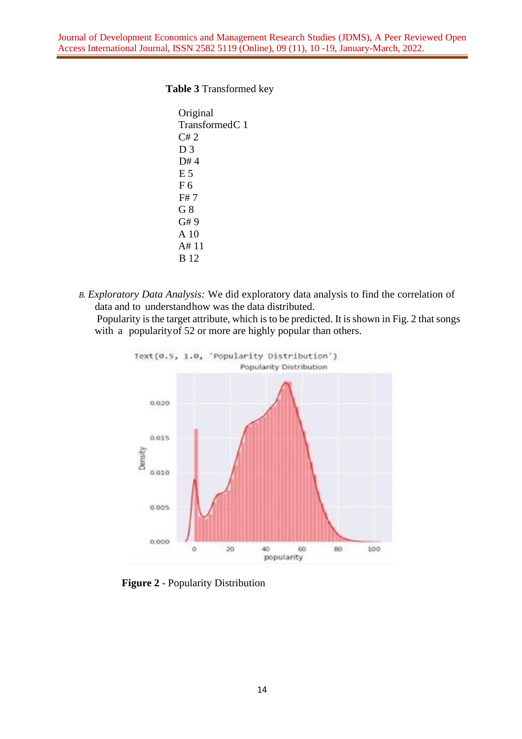### **Table 3** Transformed key

```
Original 
TransformedC 1
C# 2
D 3
D#4
E 5
F 6
F# 7
G 8
G# 9
A 10
A# 11
B 12
```
*B. Exploratory Data Analysis:* We did exploratory data analysis to find the correlation of data and to understandhow was the data distributed.

Popularity is the target attribute, which is to be predicted. It is shown in Fig. 2 that songs with a popularity of 52 or more are highly popular than others.



**Figure 2** - Popularity Distribution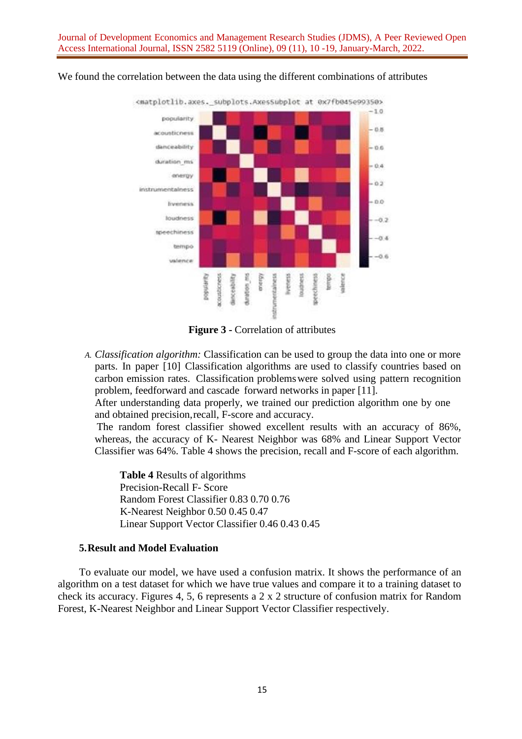

We found the correlation between the data using the different combinations of attributes

**Figure 3 -** Correlation of attributes

*A. Classification algorithm:* Classification can be used to group the data into one or more parts. In paper [10] Classification algorithms are used to classify countries based on carbon emission rates. Classification problemswere solved using pattern recognition problem, feedforward and cascade forward networks in paper [11].

After understanding data properly, we trained our prediction algorithm one by one and obtained precision,recall, F-score and accuracy.

The random forest classifier showed excellent results with an accuracy of 86%, whereas, the accuracy of K- Nearest Neighbor was 68% and Linear Support Vector Classifier was 64%. Table 4 shows the precision, recall and F-score of each algorithm.

**Table 4** Results of algorithms Precision-Recall F- Score Random Forest Classifier 0.83 0.70 0.76 K-Nearest Neighbor 0.50 0.45 0.47 Linear Support Vector Classifier 0.46 0.43 0.45

### **5.Result and Model Evaluation**

To evaluate our model, we have used a confusion matrix. It shows the performance of an algorithm on a test dataset for which we have true values and compare it to a training dataset to check its accuracy. Figures 4, 5, 6 represents a 2 x 2 structure of confusion matrix for Random Forest, K-Nearest Neighbor and Linear Support Vector Classifier respectively.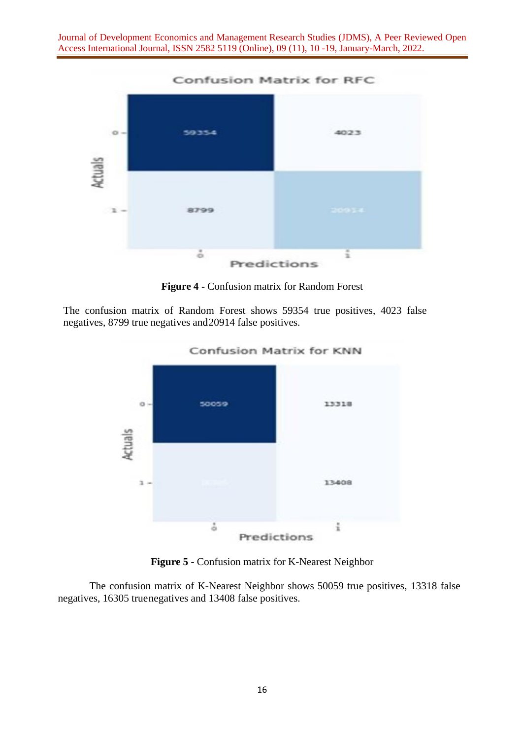

**Figure 4 -** Confusion matrix for Random Forest

The confusion matrix of Random Forest shows 59354 true positives, 4023 false negatives, 8799 true negatives and20914 false positives.



**Figure 5 -** Confusion matrix for K-Nearest Neighbor

The confusion matrix of K-Nearest Neighbor shows 50059 true positives, 13318 false negatives, 16305 truenegatives and 13408 false positives.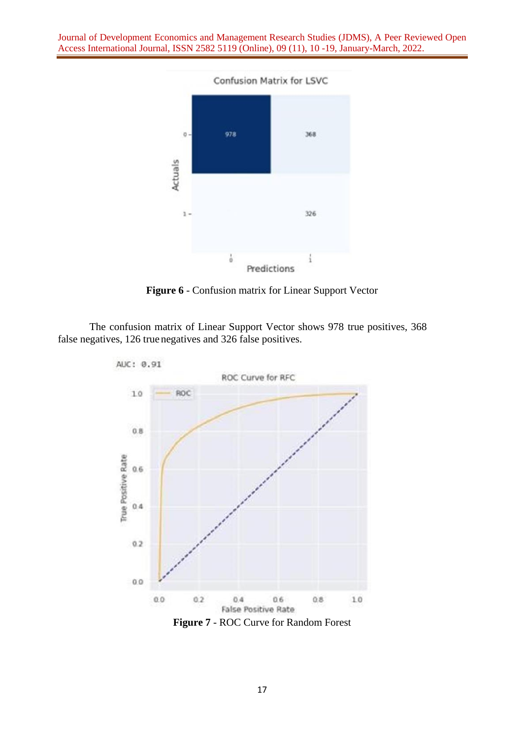

**Figure 6** - Confusion matrix for Linear Support Vector

The confusion matrix of Linear Support Vector shows 978 true positives, 368 false negatives, 126 true negatives and 326 false positives.

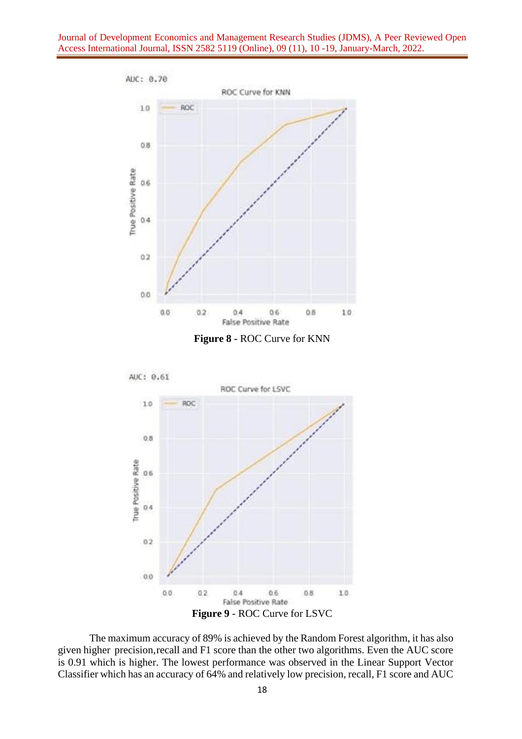



The maximum accuracy of 89% is achieved by the Random Forest algorithm, it has also given higher precision,recall and F1 score than the other two algorithms. Even the AUC score is 0.91 which is higher. The lowest performance was observed in the Linear Support Vector Classifier which has an accuracy of 64% and relatively low precision, recall, F1 score and AUC